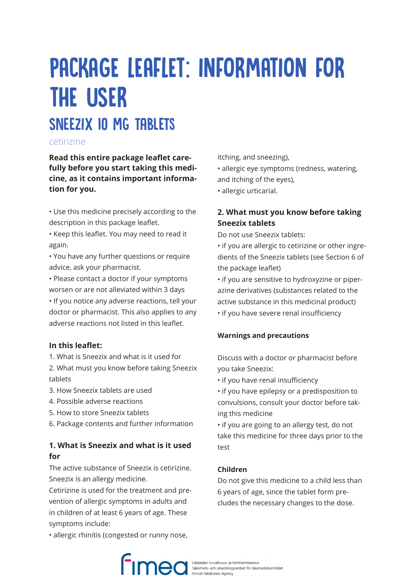# PACKAGE LEAFLET: INFORMATION FOR THE USER SNEEZIX IO MG TABLETS

# cetirizine

**Read this entire package leaflet carefully before you start taking this medicine, as it contains important information for you.**

• Use this medicine precisely according to the description in this package leaflet.

• Keep this leaflet. You may need to read it again.

• You have any further questions or require advice, ask your pharmacist.

• Please contact a doctor if your symptoms worsen or are not alleviated within 3 days

• If you notice any adverse reactions, tell your doctor or pharmacist. This also applies to any adverse reactions not listed in this leaflet.

## **In this leaflet:**

1. What is Sneezix and what is it used for

2. What must you know before taking Sneezix tablets

- 3. How Sneezix tablets are used
- 4. Possible adverse reactions
- 5. How to store Sneezix tablets
- 6. Package contents and further information

# **1. What is Sneezix and what is it used for**

The active substance of Sneezix is cetirizine. Sneezix is an allergy medicine.

Cetirizine is used for the treatment and prevention of allergic symptoms in adults and in children of at least 6 years of age. These symptoms include:

• allergic rhinitis (congested or runny nose,

itching, and sneezing),

• allergic eye symptoms (redness, watering, and itching of the eyes),

• allergic urticarial.

# **2. What must you know before taking Sneezix tablets**

Do not use Sneezix tablets:

• if you are allergic to cetirizine or other ingredients of the Sneezix tablets (see Section 6 of the package leaflet)

• if you are sensitive to hydroxyzine or piperazine derivatives (substances related to the active substance in this medicinal product)

• if you have severe renal insufficiency

#### **Warnings and precautions**

Discuss with a doctor or pharmacist before you take Sneezix:

• if you have renal insufficiency

• if you have epilepsy or a predisposition to convulsions, consult your doctor before taking this medicine

• if you are going to an allergy test, do not take this medicine for three days prior to the test

#### **Children**

Do not give this medicine to a child less than 6 years of age, since the tablet form precludes the necessary changes to the dose.

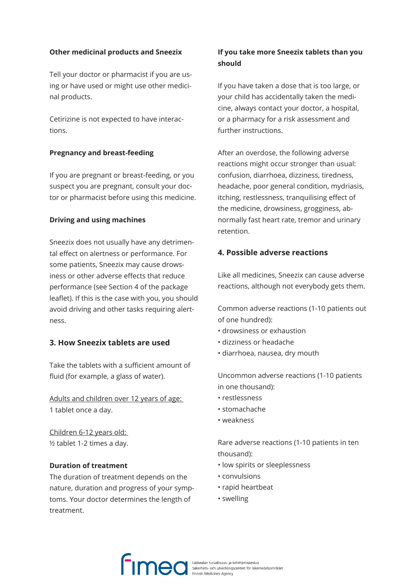#### **Other medicinal products and Sneezix**

Tell your doctor or pharmacist if you are using or have used or might use other medicinal products.

Cetirizine is not expected to have interactions.

#### **Pregnancy and breast-feeding**

If you are pregnant or breast-feeding, or you suspect you are pregnant, consult your doctor or pharmacist before using this medicine.

#### **Driving and using machines**

Sneezix does not usually have any detrimental effect on alertness or performance. For some patients, Sneezix may cause drowsiness or other adverse effects that reduce performance (see Section 4 of the package leaflet). If this is the case with you, you should avoid driving and other tasks requiring alertness.

#### **3. How Sneezix tablets are used**

Take the tablets with a sufficient amount of fluid (for example, a glass of water).

Adults and children over 12 years of age: 1 tablet once a day.

Children 6-12 years old: ½ tablet 1-2 times a day.

#### **Duration of treatment**

The duration of treatment depends on the nature, duration and progress of your symptoms. Your doctor determines the length of treatment.

## **If you take more Sneezix tablets than you should**

If you have taken a dose that is too large, or your child has accidentally taken the medicine, always contact your doctor, a hospital, or a pharmacy for a risk assessment and further instructions.

After an overdose, the following adverse reactions might occur stronger than usual: confusion, diarrhoea, dizziness, tiredness, headache, poor general condition, mydriasis, itching, restlessness, tranquilising effect of the medicine, drowsiness, grogginess, abnormally fast heart rate, tremor and urinary retention.

### **4. Possible adverse reactions**

Like all medicines, Sneezix can cause adverse reactions, although not everybody gets them.

Common adverse reactions (1-10 patients out of one hundred):

- drowsiness or exhaustion
- dizziness or headache
- diarrhoea, nausea, dry mouth

Uncommon adverse reactions (1-10 patients in one thousand):

- restlessness
- stomachache
- weakness

Rare adverse reactions (1-10 patients in ten thousand):

- low spirits or sleeplessness
- convulsions
- rapid heartbeat
- swelling